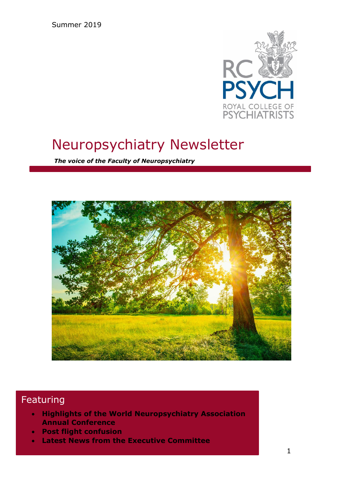Summer 2019



# Neuropsychiatry Newsletter

*The voice of the Faculty of Neuropsychiatry*



## Featuring

- **Highlights of the World Neuropsychiatry Association Annual Conference**
- **Post flight confusion**
- **Latest News from the Executive Committee**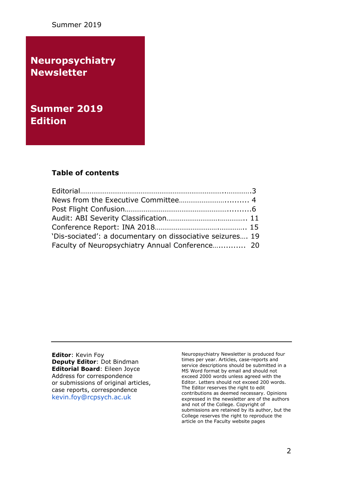Summer 2019

**Neuropsychiatry Newsletter**

**Summer 2019 Edition** 

### **Table of contents**

| 'Dis-sociated': a documentary on dissociative seizures 19 |  |
|-----------------------------------------------------------|--|
| Faculty of Neuropsychiatry Annual Conference 20           |  |

**Editor**: Kevin Foy **Deputy Editor**: Dot Bindman **Editorial Board**: Eileen Joyce Address for correspondence or submissions of original articles, case reports, correspondence [kevin.foy@rcpsych.ac.uk](mailto:kevin.foy@rcpsych.ac.uk)

Neuropsychiatry Newsletter is produced four times per year. Articles, case-reports and service descriptions should be submitted in a MS Word format by email and should not exceed 2000 words unless agreed with the Editor. Letters should not exceed 200 words. The Editor reserves the right to edit contributions as deemed necessary. Opinions expressed in the newsletter are of the authors and not of the College. Copyright of submissions are retained by its author, but the College reserves the right to reproduce the article on the Faculty website pages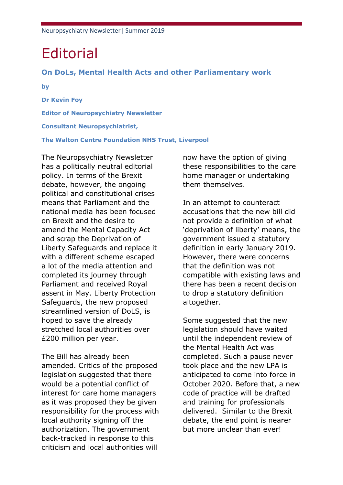# **Editorial**

#### **On DoLs, Mental Health Acts and other Parliamentary work**

**by**

**Dr Kevin Foy Editor of Neuropsychiatry Newsletter Consultant Neuropsychiatrist, The Walton Centre Foundation NHS Trust, Liverpool**

The Neuropsychiatry Newsletter has a politically neutral editorial policy. In terms of the Brexit debate, however, the ongoing political and constitutional crises means that Parliament and the national media has been focused on Brexit and the desire to amend the Mental Capacity Act and scrap the Deprivation of Liberty Safeguards and replace it with a different scheme escaped a lot of the media attention and completed its journey through Parliament and received Royal assent in May. Liberty Protection Safeguards, the new proposed streamlined version of DoLS, is hoped to save the already stretched local authorities over £200 million per year.

The Bill has already been amended. Critics of the proposed legislation suggested that there would be a potential conflict of interest for care home managers as it was proposed they be given responsibility for the process with local authority signing off the authorization. The government back-tracked in response to this criticism and local authorities will

now have the option of giving these responsibilities to the care home manager or undertaking them themselves.

In an attempt to counteract accusations that the new bill did not provide a definition of what 'deprivation of liberty' means, the government issued a statutory definition in early January 2019. However, there were concerns that the definition was not compatible with existing laws and there has been a recent decision to drop a statutory definition altogether.

Some suggested that the new legislation should have waited until the independent review of the Mental Health Act was completed. Such a pause never took place and the new LPA is anticipated to come into force in October 2020. Before that, a new code of practice will be drafted and training for professionals delivered. Similar to the Brexit debate, the end point is nearer but more unclear than ever!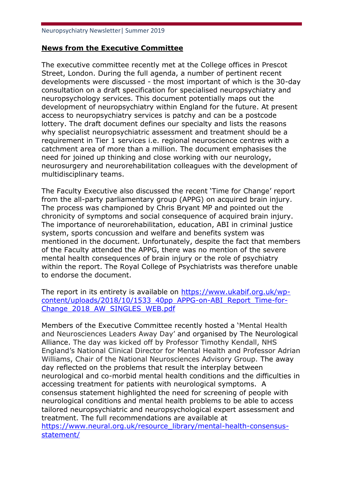## **News from the Executive Committee**

The executive committee recently met at the College offices in Prescot Street, London. During the full agenda, a number of pertinent recent developments were discussed - the most important of which is the 30-day consultation on a draft specification for specialised neuropsychiatry and neuropsychology services. This document potentially maps out the development of neuropsychiatry within England for the future. At present access to neuropsychiatry services is patchy and can be a postcode lottery. The draft document defines our specialty and lists the reasons why specialist neuropsychiatric assessment and treatment should be a requirement in Tier 1 services i.e. regional neuroscience centres with a catchment area of more than a million. The document emphasises the need for joined up thinking and close working with our neurology, neurosurgery and neurorehabilitation colleagues with the development of multidisciplinary teams.

The Faculty Executive also discussed the recent 'Time for Change' report from the all-party parliamentary group (APPG) on acquired brain injury. The process was championed by Chris Bryant MP and pointed out the chronicity of symptoms and social consequence of acquired brain injury. The importance of neurorehabilitation, education, ABI in criminal justice system, sports concussion and welfare and benefits system was mentioned in the document. Unfortunately, despite the fact that members of the Faculty attended the APPG, there was no mention of the severe mental health consequences of brain injury or the role of psychiatry within the report. The Royal College of Psychiatrists was therefore unable to endorse the document.

The report in its entirety is available on [https://www.ukabif.org.uk/wp](https://www.ukabif.org.uk/wp-content/uploads/2018/10/1533_40pp_APPG-on-ABI_Report_Time-for-Change_2018_AW_SINGLES_WEB.pdf)[content/uploads/2018/10/1533\\_40pp\\_APPG-on-ABI\\_Report\\_Time-for-](https://www.ukabif.org.uk/wp-content/uploads/2018/10/1533_40pp_APPG-on-ABI_Report_Time-for-Change_2018_AW_SINGLES_WEB.pdf)[Change\\_2018\\_AW\\_SINGLES\\_WEB.pdf](https://www.ukabif.org.uk/wp-content/uploads/2018/10/1533_40pp_APPG-on-ABI_Report_Time-for-Change_2018_AW_SINGLES_WEB.pdf)

Members of the Executive Committee recently hosted a 'Mental Health and Neurosciences Leaders Away Day' and organised by The Neurological Alliance. The day was kicked off by Professor Timothy Kendall, NHS England's National Clinical Director for Mental Health and Professor Adrian Williams, Chair of the National Neurosciences Advisory Group. The away day reflected on the problems that result the interplay between neurological and co-morbid mental health conditions and the difficulties in accessing treatment for patients with neurological symptoms. A consensus statement highlighted the need for screening of people with neurological conditions and mental health problems to be able to access tailored neuropsychiatric and neuropsychological expert assessment and treatment. The full recommendations are available at [https://www.neural.org.uk/resource\\_library/mental-health-consensus](https://www.neural.org.uk/resource_library/mental-health-consensus-statement/)[statement/](https://www.neural.org.uk/resource_library/mental-health-consensus-statement/)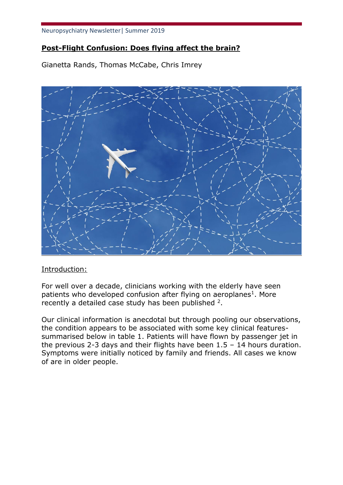## **Post-Flight Confusion: Does flying affect the brain?**

Gianetta Rands, Thomas McCabe, Chris Imrey



## Introduction:

For well over a decade, clinicians working with the elderly have seen patients who developed confusion after flying on aeroplanes<sup>1</sup>. More recently a detailed case study has been published  $2$ .

Our clinical information is anecdotal but through pooling our observations, the condition appears to be associated with some key clinical featuressummarised below in table 1. Patients will have flown by passenger jet in the previous 2-3 days and their flights have been  $1.5 - 14$  hours duration. Symptoms were initially noticed by family and friends. All cases we know of are in older people.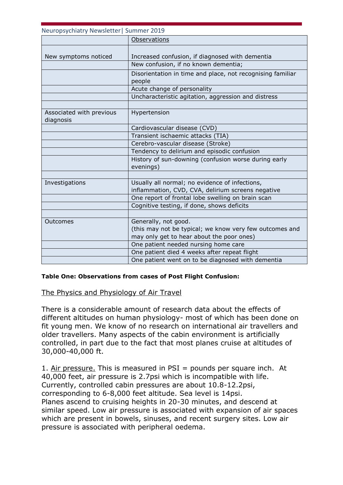| Neuropsychiatry Newsletter   Summer 2019 |                                                                      |
|------------------------------------------|----------------------------------------------------------------------|
|                                          | Observations                                                         |
| New symptoms noticed                     | Increased confusion, if diagnosed with dementia                      |
|                                          | New confusion, if no known dementia;                                 |
|                                          | Disorientation in time and place, not recognising familiar<br>people |
|                                          | Acute change of personality                                          |
|                                          | Uncharacteristic agitation, aggression and distress                  |
|                                          |                                                                      |
| Associated with previous<br>diagnosis    | Hypertension                                                         |
|                                          | Cardiovascular disease (CVD)                                         |
|                                          | Transient ischaemic attacks (TIA)                                    |
|                                          | Cerebro-vascular disease (Stroke)                                    |
|                                          | Tendency to delirium and episodic confusion                          |
|                                          | History of sun-downing (confusion worse during early<br>evenings)    |
|                                          |                                                                      |
| Investigations                           | Usually all normal; no evidence of infections,                       |
|                                          | inflammation, CVD, CVA, delirium screens negative                    |
|                                          | One report of frontal lobe swelling on brain scan                    |
|                                          | Cognitive testing, if done, shows deficits                           |
|                                          |                                                                      |
| Outcomes                                 | Generally, not good.                                                 |
|                                          | (this may not be typical; we know very few outcomes and              |
|                                          | may only get to hear about the poor ones)                            |
|                                          | One patient needed nursing home care                                 |
|                                          | One patient died 4 weeks after repeat flight                         |
|                                          | One patient went on to be diagnosed with dementia                    |

#### **Table One: Observations from cases of Post Flight Confusion:**

#### The Physics and Physiology of Air Travel

There is a considerable amount of research data about the effects of different altitudes on human physiology- most of which has been done on fit young men. We know of no research on international air travellers and older travellers. Many aspects of the cabin environment is artificially controlled, in part due to the fact that most planes cruise at altitudes of 30,000-40,000 ft.

1. Air pressure. This is measured in  $PSI =$  pounds per square inch. At 40,000 feet, air pressure is 2.7psi which is incompatible with life. Currently, controlled cabin pressures are about 10.8-12.2psi, corresponding to 6-8,000 feet altitude. Sea level is 14psi. Planes ascend to cruising heights in 20-30 minutes, and descend at similar speed. Low air pressure is associated with expansion of air spaces which are present in bowels, sinuses, and recent surgery sites. Low air pressure is associated with peripheral oedema.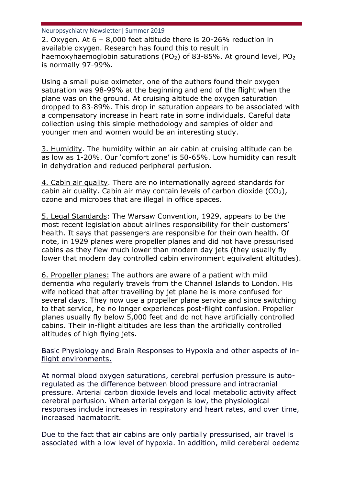2. Oxygen. At 6 – 8,000 feet altitude there is 20-26% reduction in available oxygen. Research has found this to result in haemoxyhaemoglobin saturations ( $PO<sub>2</sub>$ ) of 83-85%. At ground level,  $PO<sub>2</sub>$ is normally 97-99%.

Using a small pulse oximeter, one of the authors found their oxygen saturation was 98-99% at the beginning and end of the flight when the plane was on the ground. At cruising altitude the oxygen saturation dropped to 83-89%. This drop in saturation appears to be associated with a compensatory increase in heart rate in some individuals. Careful data collection using this simple methodology and samples of older and younger men and women would be an interesting study.

3. Humidity. The humidity within an air cabin at cruising altitude can be as low as 1-20%. Our 'comfort zone' is 50-65%. Low humidity can result in dehydration and reduced peripheral perfusion.

4. Cabin air quality. There are no internationally agreed standards for cabin air quality. Cabin air may contain levels of carbon dioxide  $(CO<sub>2</sub>)$ , ozone and microbes that are illegal in office spaces.

5. Legal Standards: The Warsaw Convention, 1929, appears to be the most recent legislation about airlines responsibility for their customers' health. It says that passengers are responsible for their own health. Of note, in 1929 planes were propeller planes and did not have pressurised cabins as they flew much lower than modern day jets (they usually fly lower that modern day controlled cabin environment equivalent altitudes).

6. Propeller planes: The authors are aware of a patient with mild dementia who regularly travels from the Channel Islands to London. His wife noticed that after travelling by jet plane he is more confused for several days. They now use a propeller plane service and since switching to that service, he no longer experiences post-flight confusion. Propeller planes usually fly below 5,000 feet and do not have artificially controlled cabins. Their in-flight altitudes are less than the artificially controlled altitudes of high flying jets.

### Basic Physiology and Brain Responses to Hypoxia and other aspects of inflight environments.

At normal blood oxygen saturations, cerebral perfusion pressure is autoregulated as the difference between blood pressure and intracranial pressure. Arterial carbon dioxide levels and local metabolic activity affect cerebral perfusion. When arterial oxygen is low, the physiological responses include increases in respiratory and heart rates, and over time, increased haematocrit.

Due to the fact that air cabins are only partially pressurised, air travel is associated with a low level of hypoxia. In addition, mild cereberal oedema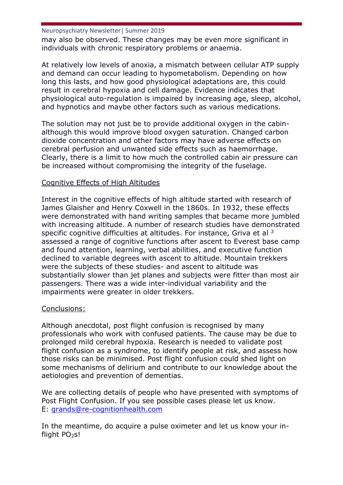may also be observed. These changes may be even more significant in individuals with chronic respiratory problems or anaemia.

At relatively low levels of anoxia, a mismatch between cellular ATP supply and demand can occur leading to hypometabolism. Depending on how long this lasts, and how good physiological adaptations are, this could result in cerebral hypoxia and cell damage. Evidence indicates that physiological auto-regulation is impaired by increasing age, sleep, alcohol, and hypnotics and maybe other factors such as various medications.

The solution may not just be to provide additional oxygen in the cabinalthough this would improve blood oxygen saturation. Changed carbon dioxide concentration and other factors may have adverse effects on cerebral perfusion and unwanted side effects such as haemorrhage. Clearly, there is a limit to how much the controlled cabin air pressure can be increased without compromising the integrity of the fuselage.

## Cognitive Effects of High Altitudes

Interest in the cognitive effects of high altitude started with research of James Glaisher and Henry Coxwell in the 1860s. In 1932, these effects were demonstrated with hand writing samples that became more jumbled with increasing altitude. A number of research studies have demonstrated specific cognitive difficulties at altitudes. For instance, Griva et al  $^3$ assessed a range of cognitive functions after ascent to Everest base camp and found attention, learning, verbal abilities, and executive function declined to variable degrees with ascent to altitude. Mountain trekkers were the subjects of these studies- and ascent to altitude was substantially slower than jet planes and subjects were fitter than most air passengers. There was a wide inter-individual variability and the impairments were greater in older trekkers.

## Conclusions:

Although anecdotal, post flight confusion is recognised by many professionals who work with confused patients. The cause may be due to prolonged mild cerebral hypoxia. Research is needed to validate post flight confusion as a syndrome, to identify people at risk, and assess how those risks can be minimised. Post flight confusion could shed light on some mechanisms of delirium and contribute to our knowledge about the aetiologies and prevention of dementias.

We are collecting details of people who have presented with symptoms of Post Flight Confusion. If you see possible cases please let us know. E: [grands@re-cognitionhealth.com](mailto:grands@re-cognitionhealth.com)

In the meantime, do acquire a pulse oximeter and let us know your inflight  $PO<sub>2</sub>$ s!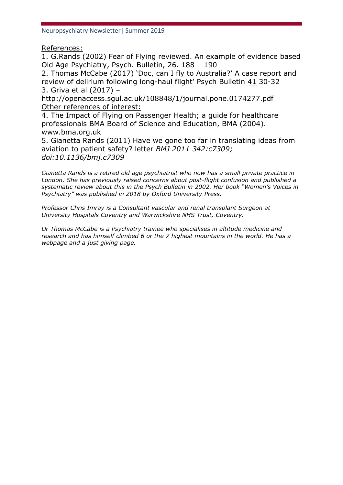References:

1. G.Rands (2002) Fear of Flying reviewed. An example of evidence based Old Age Psychiatry, Psych. Bulletin, 26. 188 – 190

2. Thomas McCabe (2017) 'Doc, can I fly to Australia?' A case report and review of delirium following long-haul flight' Psych Bulletin 41 30-32 3. Griva et al (2017) –

http://openaccess.sgul.ac.uk/108848/1/journal.pone.0174277.pdf Other references of interest:

4. The Impact of Flying on Passenger Health; a guide for healthcare professionals BMA Board of Science and Education, BMA (2004). www.bma.org.uk

5. Gianetta Rands (2011) Have we gone too far in translating ideas from aviation to patient safety? letter *BMJ 2011 342:c7309; doi:10.1136/bmj.c7309*

*Gianetta Rands is a retired old age psychiatrist who now has a small private practice in London. She has previously raised concerns about post-flight confusion and published a systematic review about this in the Psych Bulletin in 2002. Her book "Women's Voices in Psychiatry" was published in 2018 by Oxford University Press.* 

*Professor Chris Imray is a Consultant vascular and renal transplant Surgeon at University Hospitals Coventry and Warwickshire NHS Trust, Coventry.* 

*Dr Thomas McCabe is a Psychiatry trainee who specialises in altitude medicine and research and has himself climbed 6 or the 7 highest mountains in the world. He has a webpage and a just giving page.*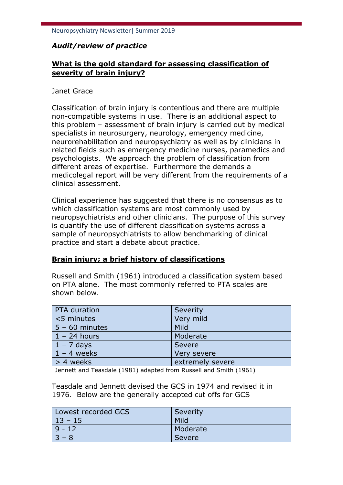## *Audit/review of practice*

## **What is the gold standard for assessing classification of severity of brain injury?**

#### Janet Grace

Classification of brain injury is contentious and there are multiple non-compatible systems in use. There is an additional aspect to this problem – assessment of brain injury is carried out by medical specialists in neurosurgery, neurology, emergency medicine, neurorehabilitation and neuropsychiatry as well as by clinicians in related fields such as emergency medicine nurses, paramedics and psychologists. We approach the problem of classification from different areas of expertise. Furthermore the demands a medicolegal report will be very different from the requirements of a clinical assessment.

Clinical experience has suggested that there is no consensus as to which classification systems are most commonly used by neuropsychiatrists and other clinicians. The purpose of this survey is quantify the use of different classification systems across a sample of neuropsychiatrists to allow benchmarking of clinical practice and start a debate about practice.

## **Brain injury; a brief history of classifications**

Russell and Smith (1961) introduced a classification system based on PTA alone. The most commonly referred to PTA scales are shown below.

| PTA duration     | Severity         |
|------------------|------------------|
| <5 minutes       | Very mild        |
| $5 - 60$ minutes | Mild             |
| $1 - 24$ hours   | Moderate         |
| $1 - 7$ days     | <b>Severe</b>    |
| $1 - 4$ weeks    | Very severe      |
| > 4 weeks        | extremely severe |

Jennett and Teasdale (1981) adapted from Russell and Smith (1961)

Teasdale and Jennett devised the GCS in 1974 and revised it in 1976. Below are the generally accepted cut offs for GCS

| Lowest recorded GCS | Severity |
|---------------------|----------|
| $13 - 15$           | Mild     |
| $9 - 12$            | Moderate |
| $3 - 8$             | Severe   |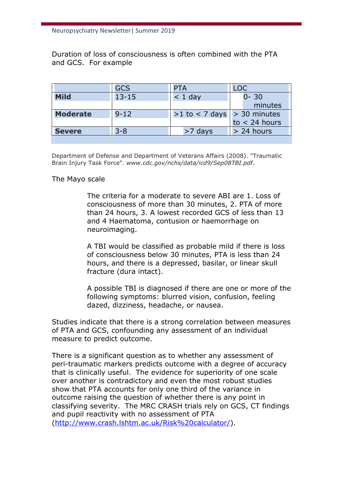Duration of loss of consciousness is often combined with the PTA and GCS. For example

|                 | GCS       | PTA                               | <b>LOC</b>      |
|-----------------|-----------|-----------------------------------|-----------------|
| <b>Mild</b>     | $13 - 15$ | $<$ 1 day                         | $0 - 30$        |
|                 |           |                                   | minutes         |
| <b>Moderate</b> | $9 - 12$  | $>1$ to < 7 days $  > 30$ minutes |                 |
|                 |           |                                   | $to < 24$ hours |
| <b>Severe</b>   | 3-8       | $>7$ days                         | > 24 hours      |
|                 |           |                                   |                 |

Department of Defense and Department of Veterans Affairs (2008). "Traumatic Brain Injury Task Force". *www.cdc.gov/nchs/data/icd9/Sep08TBI.pdf*.

#### The Mayo scale

The criteria for a moderate to severe ABI are 1. Loss of consciousness of more than 30 minutes, 2. PTA of more than 24 hours, 3. A lowest recorded GCS of less than 13 and 4 Haematoma, contusion or haemorrhage on neuroimaging.

A TBI would be classified as probable mild if there is loss of consciousness below 30 minutes, PTA is less than 24 hours, and there is a depressed, basilar, or linear skull fracture (dura intact).

A possible TBI is diagnosed if there are one or more of the following symptoms: blurred vision, confusion, feeling dazed, dizziness, headache, or nausea.

Studies indicate that there is a strong correlation between measures of PTA and GCS, confounding any assessment of an individual measure to predict outcome.

There is a significant question as to whether any assessment of peri-traumatic markers predicts outcome with a degree of accuracy that is clinically useful. The evidence for superiority of one scale over another is contradictory and even the most robust studies show that PTA accounts for only one third of the variance in outcome raising the question of whether there is any point in classifying severity. The MRC CRASH trials rely on GCS, CT findings and pupil reactivity with no assessment of PTA [\(http://www.crash.lshtm.ac.uk/Risk%20calculator/\)](http://www.crash.lshtm.ac.uk/Risk%20calculator/).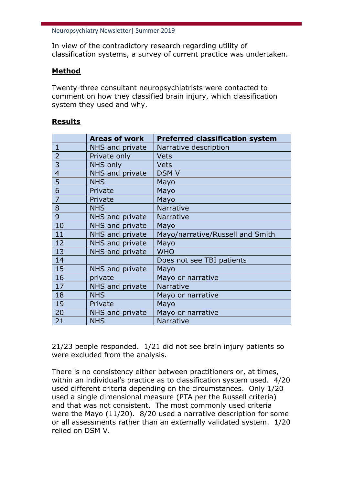In view of the contradictory research regarding utility of classification systems, a survey of current practice was undertaken.

## **Method**

Twenty-three consultant neuropsychiatrists were contacted to comment on how they classified brain injury, which classification system they used and why.

### **Results**

|                | <b>Areas of work</b> | <b>Preferred classification system</b> |
|----------------|----------------------|----------------------------------------|
| $\mathbf{1}$   | NHS and private      | Narrative description                  |
| $\overline{2}$ | Private only         | <b>Vets</b>                            |
| 3              | NHS only             | <b>Vets</b>                            |
| $\overline{4}$ | NHS and private      | <b>DSMV</b>                            |
| 5              | <b>NHS</b>           | Mayo                                   |
| 6              | Private              | Mayo                                   |
| $\overline{7}$ | Private              | Mayo                                   |
| 8              | <b>NHS</b>           | Narrative                              |
| 9              | NHS and private      | Narrative                              |
| 10             | NHS and private      | Mayo                                   |
| 11             | NHS and private      | Mayo/narrative/Russell and Smith       |
| 12             | NHS and private      | Mayo                                   |
| 13             | NHS and private      | <b>WHO</b>                             |
| 14             |                      | Does not see TBI patients              |
| 15             | NHS and private      | Mayo                                   |
| 16             | private              | Mayo or narrative                      |
| 17             | NHS and private      | <b>Narrative</b>                       |
| 18             | <b>NHS</b>           | Mayo or narrative                      |
| 19             | Private              | Mayo                                   |
| 20             | NHS and private      | Mayo or narrative                      |
| 21             | <b>NHS</b>           | Narrative                              |

21/23 people responded. 1/21 did not see brain injury patients so were excluded from the analysis.

There is no consistency either between practitioners or, at times, within an individual's practice as to classification system used. 4/20 used different criteria depending on the circumstances. Only 1/20 used a single dimensional measure (PTA per the Russell criteria) and that was not consistent. The most commonly used criteria were the Mayo (11/20). 8/20 used a narrative description for some or all assessments rather than an externally validated system. 1/20 relied on DSM V.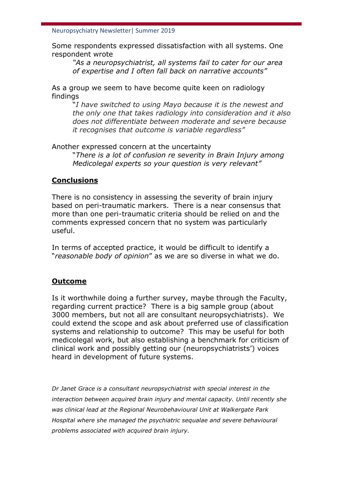Some respondents expressed dissatisfaction with all systems. One respondent wrote

*"As a neuropsychiatrist, all systems fail to cater for our area of expertise and I often fall back on narrative accounts"*

As a group we seem to have become quite keen on radiology findings

"*I have switched to using Mayo because it is the newest and the only one that takes radiology into consideration and it also does not differentiate between moderate and severe because it recognises that outcome is variable regardless"*

Another expressed concern at the uncertainty

"*There is a lot of confusion re severity in Brain Injury among Medicolegal experts so your question is very relevant"*

## **Conclusions**

There is no consistency in assessing the severity of brain injury based on peri-traumatic markers. There is a near consensus that more than one peri-traumatic criteria should be relied on and the comments expressed concern that no system was particularly useful.

In terms of accepted practice, it would be difficult to identify a "*reasonable body of opinion*" as we are so diverse in what we do.

## **Outcome**

Is it worthwhile doing a further survey, maybe through the Faculty, regarding current practice? There is a big sample group (about 3000 members, but not all are consultant neuropsychiatrists). We could extend the scope and ask about preferred use of classification systems and relationship to outcome? This may be useful for both medicolegal work, but also establishing a benchmark for criticism of clinical work and possibly getting our (neuropsychiatrists') voices heard in development of future systems.

*Dr Janet Grace is a consultant neuropsychiatrist with special interest in the interaction between acquired brain injury and mental capacity. Until recently she was clinical lead at the Regional Neurobehavioural Unit at Walkergate Park Hospital where she managed the psychiatric sequalae and severe behavioural problems associated with acquired brain injury.*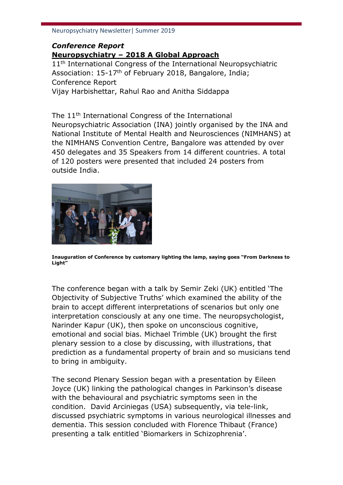## *Conference Report* **Neuropsychiatry – 2018 A Global Approach**

11<sup>th</sup> International Congress of the International Neuropsychiatric Association: 15-17th of February 2018, Bangalore, India; Conference Report Vijay Harbishettar, Rahul Rao and Anitha Siddappa

The 11th International Congress of the International Neuropsychiatric Association (INA) jointly organised by the INA and National Institute of Mental Health and Neurosciences (NIMHANS) at the NIMHANS Convention Centre, Bangalore was attended by over 450 delegates and 35 Speakers from 14 different countries. A total of 120 posters were presented that included 24 posters from outside India.



**Inauguration of Conference by customary lighting the lamp, saying goes "From Darkness to Light"**

The conference began with a talk by Semir Zeki (UK) entitled 'The Objectivity of Subjective Truths' which examined the ability of the brain to accept different interpretations of scenarios but only one interpretation consciously at any one time. The neuropsychologist, Narinder Kapur (UK), then spoke on unconscious cognitive, emotional and social bias. Michael Trimble (UK) brought the first plenary session to a close by discussing, with illustrations, that prediction as a fundamental property of brain and so musicians tend to bring in ambiguity.

The second Plenary Session began with a presentation by Eileen Joyce (UK) linking the pathological changes in Parkinson's disease with the behavioural and psychiatric symptoms seen in the condition. David Arciniegas (USA) subsequently, via tele-link, discussed psychiatric symptoms in various neurological illnesses and dementia. This session concluded with Florence Thibaut (France) presenting a talk entitled 'Biomarkers in Schizophrenia'.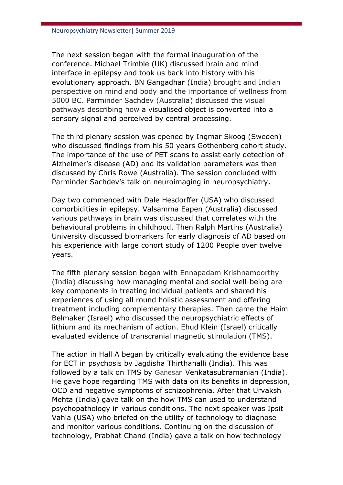The next session began with the formal inauguration of the conference. Michael Trimble (UK) discussed brain and mind interface in epilepsy and took us back into history with his evolutionary approach. BN Gangadhar (India) brought and Indian perspective on mind and body and the importance of wellness from 5000 BC. Parminder Sachdev (Australia) discussed the visual pathways describing how a visualised object is converted into a sensory signal and perceived by central processing.

The third plenary session was opened by Ingmar Skoog (Sweden) who discussed findings from his 50 years Gothenberg cohort study. The importance of the use of PET scans to assist early detection of Alzheimer's disease (AD) and its validation parameters was then discussed by Chris Rowe (Australia). The session concluded with Parminder Sachdev's talk on neuroimaging in neuropsychiatry.

Day two commenced with Dale Hesdorffer (USA) who discussed comorbidities in epilepsy. Valsamma Eapen (Australia) discussed various pathways in brain was discussed that correlates with the behavioural problems in childhood. Then Ralph Martins (Australia) University discussed biomarkers for early diagnosis of AD based on his experience with large cohort study of 1200 People over twelve years.

The fifth plenary session began with Ennapadam Krishnamoorthy (India) discussing how managing mental and social well-being are key components in treating individual patients and shared his experiences of using all round holistic assessment and offering treatment including complementary therapies. Then came the Haim Belmaker (Israel) who discussed the neuropsychiatric effects of lithium and its mechanism of action. Ehud Klein (Israel) critically evaluated evidence of transcranial magnetic stimulation (TMS).

The action in Hall A began by critically evaluating the evidence base for ECT in psychosis by Jagdisha Thirthahalli (India). This was followed by a talk on TMS by Ganesan Venkatasubramanian (India). He gave hope regarding TMS with data on its benefits in depression, OCD and negative symptoms of schizophrenia. After that Urvaksh Mehta (India) gave talk on the how TMS can used to understand psychopathology in various conditions. The next speaker was Ipsit Vahia (USA) who briefed on the utility of technology to diagnose and monitor various conditions. Continuing on the discussion of technology, Prabhat Chand (India) gave a talk on how technology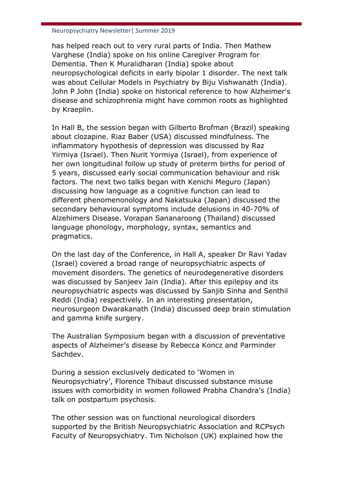has helped reach out to very rural parts of India. Then Mathew Varghese (India) spoke on his online Caregiver Program for Dementia. Then K Muralidharan (India) spoke about neuropsychological deficits in early bipolar 1 disorder. The next talk was about Cellular Models in Psychiatry by Biju Vishwanath (India). John P John (India) spoke on historical reference to how Alzheimer's disease and schizophrenia might have common roots as highlighted by Kraeplin.

In Hall B, the session began with Gilberto Brofman (Brazil) speaking about clozapine. Riaz Baber (USA) discussed mindfulness. The inflammatory hypothesis of depression was discussed by Raz Yirmiya (Israel). Then Nurit Yormiya (Israel), from experience of her own longitudinal follow up study of preterm births for period of 5 years, discussed early social communication behaviour and risk factors. The next two talks began with Kenichi Meguro (Japan) discussing how language as a cognitive function can lead to different phenomenonology and Nakatsuka (Japan) discussed the secondary behavioural symptoms include delusions in 40-70% of Alzehimers Disease. Vorapan Sananaroong (Thailand) discussed language phonology, morphology, syntax, semantics and pragmatics.

On the last day of the Conference, in Hall A, speaker Dr Ravi Yadav (Israel) covered a broad range of neuropsychiatric aspects of movement disorders. The genetics of neurodegenerative disorders was discussed by Sanjeev Jain (India). After this epilepsy and its neuropsychiatric aspects was discussed by Sanjib Sinha and Senthil Reddi (India) respectively. In an interesting presentation, neurosurgeon Dwarakanath (India) discussed deep brain stimulation and gamma knife surgery.

The Australian Symposium began with a discussion of preventative aspects of Alzheimer's disease by Rebecca Koncz and Parminder Sachdev.

During a session exclusively dedicated to 'Women in Neuropsychiatry', Florence Thibaut discussed substance misuse issues with comorbidity in women followed Prabha Chandra's (India) talk on postpartum psychosis.

The other session was on functional neurological disorders supported by the British Neuropsychiatric Association and RCPsych Faculty of Neuropsychiatry. Tim Nicholson (UK) explained how the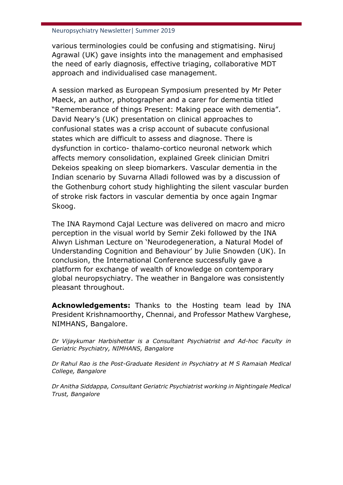various terminologies could be confusing and stigmatising. Niruj Agrawal (UK) gave insights into the management and emphasised the need of early diagnosis, effective triaging, collaborative MDT approach and individualised case management.

A session marked as European Symposium presented by Mr Peter Maeck, an author, photographer and a carer for dementia titled "Rememberance of things Present: Making peace with dementia". David Neary's (UK) presentation on clinical approaches to confusional states was a crisp account of subacute confusional states which are difficult to assess and diagnose. There is dysfunction in cortico- thalamo-cortico neuronal network which affects memory consolidation, explained Greek clinician Dmitri Dekeios speaking on sleep biomarkers. Vascular dementia in the Indian scenario by Suvarna Alladi followed was by a discussion of the Gothenburg cohort study highlighting the silent vascular burden of stroke risk factors in vascular dementia by once again Ingmar Skoog.

The INA Raymond Cajal Lecture was delivered on macro and micro perception in the visual world by Semir Zeki followed by the INA Alwyn Lishman Lecture on 'Neurodegeneration, a Natural Model of Understanding Cognition and Behaviour' by Julie Snowden (UK). In conclusion, the International Conference successfully gave a platform for exchange of wealth of knowledge on contemporary global neuropsychiatry. The weather in Bangalore was consistently pleasant throughout.

**Acknowledgements:** Thanks to the Hosting team lead by INA President Krishnamoorthy, Chennai, and Professor Mathew Varghese, NIMHANS, Bangalore.

*Dr Vijaykumar Harbishettar is a Consultant Psychiatrist and Ad-hoc Faculty in Geriatric Psychiatry, NIMHANS, Bangalore*

*Dr Rahul Rao is the Post-Graduate Resident in Psychiatry at M S Ramaiah Medical College, Bangalore*

*Dr Anitha Siddappa, Consultant Geriatric Psychiatrist working in Nightingale Medical Trust, Bangalore*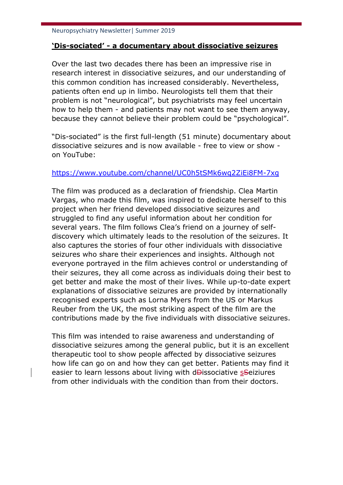## **'Dis-sociated' - a documentary about dissociative seizures**

Over the last two decades there has been an impressive rise in research interest in dissociative seizures, and our understanding of this common condition has increased considerably. Nevertheless, patients often end up in limbo. Neurologists tell them that their problem is not "neurological", but psychiatrists may feel uncertain how to help them - and patients may not want to see them anyway, because they cannot believe their problem could be "psychological".

"Dis-sociated" is the first full-length (51 minute) documentary about dissociative seizures and is now available - free to view or show on YouTube:

### <https://www.youtube.com/channel/UC0h5tSMk6wq2ZiEi8FM-7xg>

The film was produced as a declaration of friendship. Clea Martin Vargas, who made this film, was inspired to dedicate herself to this project when her friend developed dissociative seizures and struggled to find any useful information about her condition for several years. The film follows Clea's friend on a journey of selfdiscovery which ultimately leads to the resolution of the seizures. It also captures the stories of four other individuals with dissociative seizures who share their experiences and insights. Although not everyone portrayed in the film achieves control or understanding of their seizures, they all come across as individuals doing their best to get better and make the most of their lives. While up-to-date expert explanations of dissociative seizures are provided by internationally recognised experts such as Lorna Myers from the US or Markus Reuber from the UK, the most striking aspect of the film are the contributions made by the five individuals with dissociative seizures.

This film was intended to raise awareness and understanding of dissociative seizures among the general public, but it is an excellent therapeutic tool to show people affected by dissociative seizures how life can go on and how they can get better. Patients may find it easier to learn lessons about living with d<del>D</del>issociative sseiziures from other individuals with the condition than from their doctors.